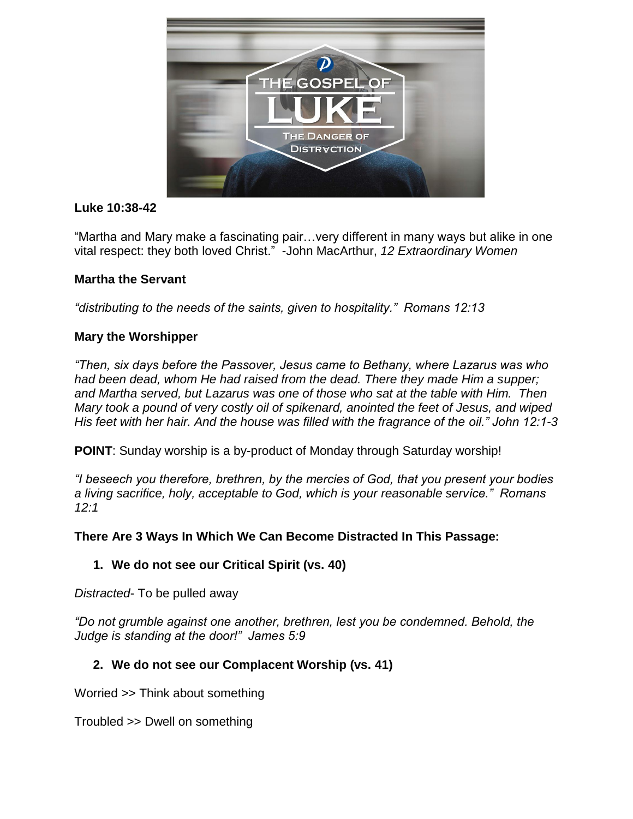

## **Luke 10:38-42**

"Martha and Mary make a fascinating pair…very different in many ways but alike in one vital respect: they both loved Christ." -John MacArthur, *12 Extraordinary Women*

## **Martha the Servant**

*"distributing to the needs of the saints, given to hospitality." Romans 12:13*

## **Mary the Worshipper**

*"Then, six days before the Passover, Jesus came to Bethany, where Lazarus was who had been dead, whom He had raised from the dead. There they made Him a supper; and Martha served, but Lazarus was one of those who sat at the table with Him. Then Mary took a pound of very costly oil of spikenard, anointed the feet of Jesus, and wiped His feet with her hair. And the house was filled with the fragrance of the oil." John 12:1-3*

**POINT**: Sunday worship is a by-product of Monday through Saturday worship!

*"I beseech you therefore, brethren, by the mercies of God, that you present your bodies a living sacrifice, holy, acceptable to God, which is your reasonable service." Romans 12:1*

#### **There Are 3 Ways In Which We Can Become Distracted In This Passage:**

#### **1. We do not see our Critical Spirit (vs. 40)**

*Distracted*- To be pulled away

*"Do not grumble against one another, brethren, lest you be condemned. Behold, the Judge is standing at the door!" James 5:9*

## **2. We do not see our Complacent Worship (vs. 41)**

Worried >> Think about something

Troubled >> Dwell on something